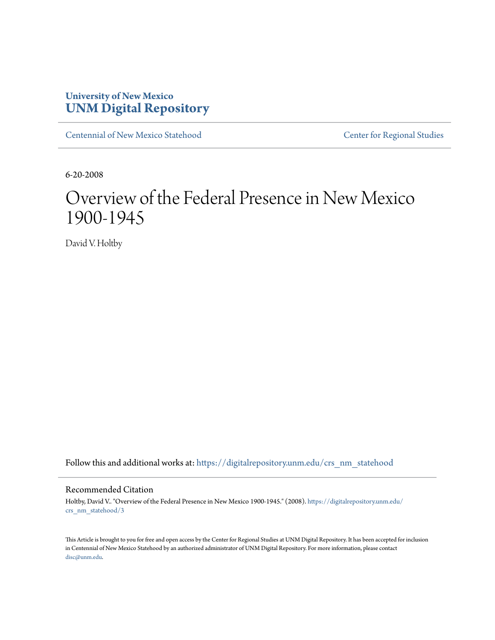## **University of New Mexico [UNM Digital Repository](https://digitalrepository.unm.edu?utm_source=digitalrepository.unm.edu%2Fcrs_nm_statehood%2F3&utm_medium=PDF&utm_campaign=PDFCoverPages)**

[Centennial of New Mexico Statehood](https://digitalrepository.unm.edu/crs_nm_statehood?utm_source=digitalrepository.unm.edu%2Fcrs_nm_statehood%2F3&utm_medium=PDF&utm_campaign=PDFCoverPages) [Center for Regional Studies](https://digitalrepository.unm.edu/crs?utm_source=digitalrepository.unm.edu%2Fcrs_nm_statehood%2F3&utm_medium=PDF&utm_campaign=PDFCoverPages)

6-20-2008

## Overview of the Federal Presence in New Mexico 1900-1945

David V. Holtby

Follow this and additional works at: [https://digitalrepository.unm.edu/crs\\_nm\\_statehood](https://digitalrepository.unm.edu/crs_nm_statehood?utm_source=digitalrepository.unm.edu%2Fcrs_nm_statehood%2F3&utm_medium=PDF&utm_campaign=PDFCoverPages)

## Recommended Citation

Holtby, David V.. "Overview of the Federal Presence in New Mexico 1900-1945." (2008). [https://digitalrepository.unm.edu/](https://digitalrepository.unm.edu/crs_nm_statehood/3?utm_source=digitalrepository.unm.edu%2Fcrs_nm_statehood%2F3&utm_medium=PDF&utm_campaign=PDFCoverPages) [crs\\_nm\\_statehood/3](https://digitalrepository.unm.edu/crs_nm_statehood/3?utm_source=digitalrepository.unm.edu%2Fcrs_nm_statehood%2F3&utm_medium=PDF&utm_campaign=PDFCoverPages)

This Article is brought to you for free and open access by the Center for Regional Studies at UNM Digital Repository. It has been accepted for inclusion in Centennial of New Mexico Statehood by an authorized administrator of UNM Digital Repository. For more information, please contact [disc@unm.edu](mailto:disc@unm.edu).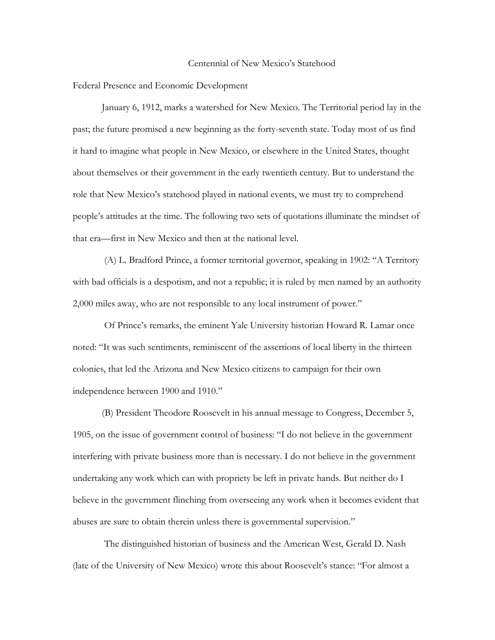## Centennial of New Mexico's Statehood

Federal Presence and Economic Development

January 6, 1912, marks a watershed for New Mexico. The Territorial period lay in the past; the future promised a new beginning as the forty-seventh state. Today most of us find it hard to imagine what people in New Mexico, or elsewhere in the United States, thought about themselves or their government in the early twentieth century. But to understand the role that New Mexico's statehood played in national events, we must try to comprehend people's attitudes at the time. The following two sets of quotations illuminate the mindset of that era—first in New Mexico and then at the national level.

(A) L. Bradford Prince, a former territorial governor, speaking in 1902: "A Territory with bad officials is a despotism, and not a republic; it is ruled by men named by an authority 2,000 miles away, who are not responsible to any local instrument of power."

Of Prince's remarks, the eminent Yale University historian Howard R. Lamar once noted: "It was such sentiments, reminiscent of the assertions of local liberty in the thirteen colonies, that led the Arizona and New Mexico citizens to campaign for their own independence between 1900 and 1910."

(B) President Theodore Roosevelt in his annual message to Congress, December 5, 1905, on the issue of government control of business: "I do not believe in the government interfering with private business more than is necessary. I do not believe in the government undertaking any work which can with propriety be left in private hands. But neither do I believe in the government flinching from overseeing any work when it becomes evident that abuses are sure to obtain therein unless there is governmental supervision."

The distinguished historian of business and the American West, Gerald D. Nash (late of the University of New Mexico) wrote this about Roosevelt's stance: "For almost a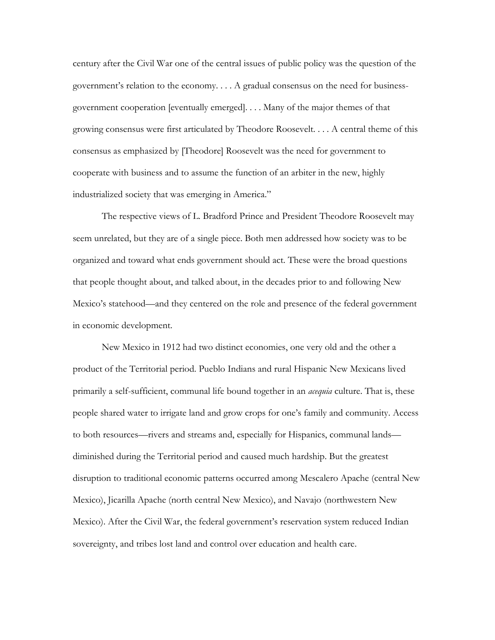century after the Civil War one of the central issues of public policy was the question of the government's relation to the economy. . . . A gradual consensus on the need for businessgovernment cooperation [eventually emerged]. . . . Many of the major themes of that growing consensus were first articulated by Theodore Roosevelt. . . . A central theme of this consensus as emphasized by [Theodore] Roosevelt was the need for government to cooperate with business and to assume the function of an arbiter in the new, highly industrialized society that was emerging in America."

The respective views of L. Bradford Prince and President Theodore Roosevelt may seem unrelated, but they are of a single piece. Both men addressed how society was to be organized and toward what ends government should act. These were the broad questions that people thought about, and talked about, in the decades prior to and following New Mexico's statehood—and they centered on the role and presence of the federal government in economic development.

New Mexico in 1912 had two distinct economies, one very old and the other a product of the Territorial period. Pueblo Indians and rural Hispanic New Mexicans lived primarily a self-sufficient, communal life bound together in an *acequia* culture. That is, these people shared water to irrigate land and grow crops for one's family and community. Access to both resources—rivers and streams and, especially for Hispanics, communal lands diminished during the Territorial period and caused much hardship. But the greatest disruption to traditional economic patterns occurred among Mescalero Apache (central New Mexico), Jicarilla Apache (north central New Mexico), and Navajo (northwestern New Mexico). After the Civil War, the federal government's reservation system reduced Indian sovereignty, and tribes lost land and control over education and health care.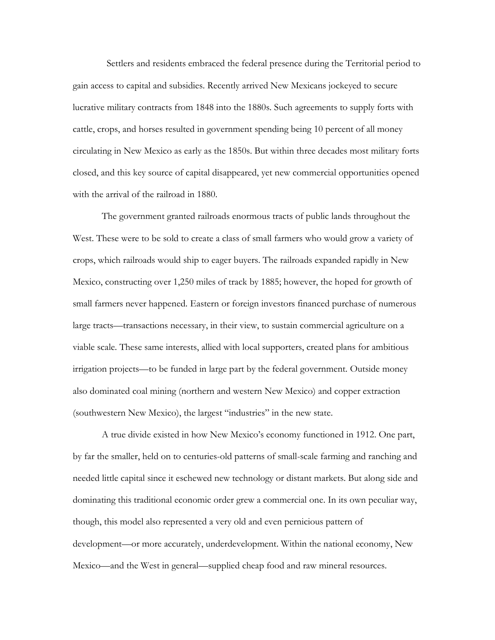Settlers and residents embraced the federal presence during the Territorial period to gain access to capital and subsidies. Recently arrived New Mexicans jockeyed to secure lucrative military contracts from 1848 into the 1880s. Such agreements to supply forts with cattle, crops, and horses resulted in government spending being 10 percent of all money circulating in New Mexico as early as the 1850s. But within three decades most military forts closed, and this key source of capital disappeared, yet new commercial opportunities opened with the arrival of the railroad in 1880.

The government granted railroads enormous tracts of public lands throughout the West. These were to be sold to create a class of small farmers who would grow a variety of crops, which railroads would ship to eager buyers. The railroads expanded rapidly in New Mexico, constructing over 1,250 miles of track by 1885; however, the hoped for growth of small farmers never happened. Eastern or foreign investors financed purchase of numerous large tracts—transactions necessary, in their view, to sustain commercial agriculture on a viable scale. These same interests, allied with local supporters, created plans for ambitious irrigation projects—to be funded in large part by the federal government. Outside money also dominated coal mining (northern and western New Mexico) and copper extraction (southwestern New Mexico), the largest "industries" in the new state.

A true divide existed in how New Mexico's economy functioned in 1912. One part, by far the smaller, held on to centuries-old patterns of small-scale farming and ranching and needed little capital since it eschewed new technology or distant markets. But along side and dominating this traditional economic order grew a commercial one. In its own peculiar way, though, this model also represented a very old and even pernicious pattern of development—or more accurately, underdevelopment. Within the national economy, New Mexico—and the West in general—supplied cheap food and raw mineral resources.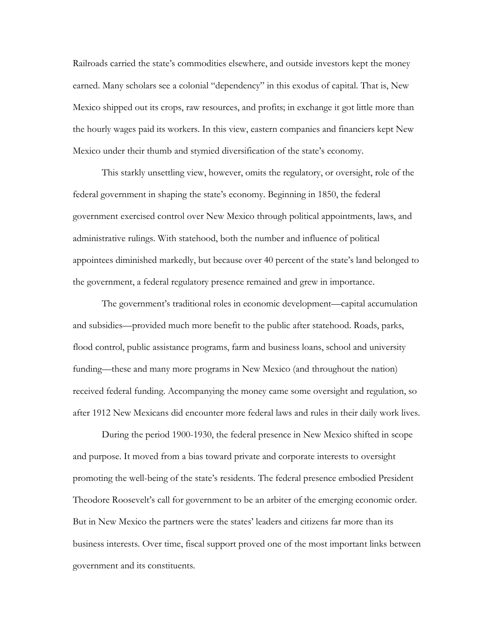Railroads carried the state's commodities elsewhere, and outside investors kept the money earned. Many scholars see a colonial "dependency" in this exodus of capital. That is, New Mexico shipped out its crops, raw resources, and profits; in exchange it got little more than the hourly wages paid its workers. In this view, eastern companies and financiers kept New Mexico under their thumb and stymied diversification of the state's economy.

This starkly unsettling view, however, omits the regulatory, or oversight, role of the federal government in shaping the state's economy. Beginning in 1850, the federal government exercised control over New Mexico through political appointments, laws, and administrative rulings. With statehood, both the number and influence of political appointees diminished markedly, but because over 40 percent of the state's land belonged to the government, a federal regulatory presence remained and grew in importance.

The government's traditional roles in economic development—capital accumulation and subsidies—provided much more benefit to the public after statehood. Roads, parks, flood control, public assistance programs, farm and business loans, school and university funding—these and many more programs in New Mexico (and throughout the nation) received federal funding. Accompanying the money came some oversight and regulation, so after 1912 New Mexicans did encounter more federal laws and rules in their daily work lives.

During the period 1900-1930, the federal presence in New Mexico shifted in scope and purpose. It moved from a bias toward private and corporate interests to oversight promoting the well-being of the state's residents. The federal presence embodied President Theodore Roosevelt's call for government to be an arbiter of the emerging economic order. But in New Mexico the partners were the states' leaders and citizens far more than its business interests. Over time, fiscal support proved one of the most important links between government and its constituents.